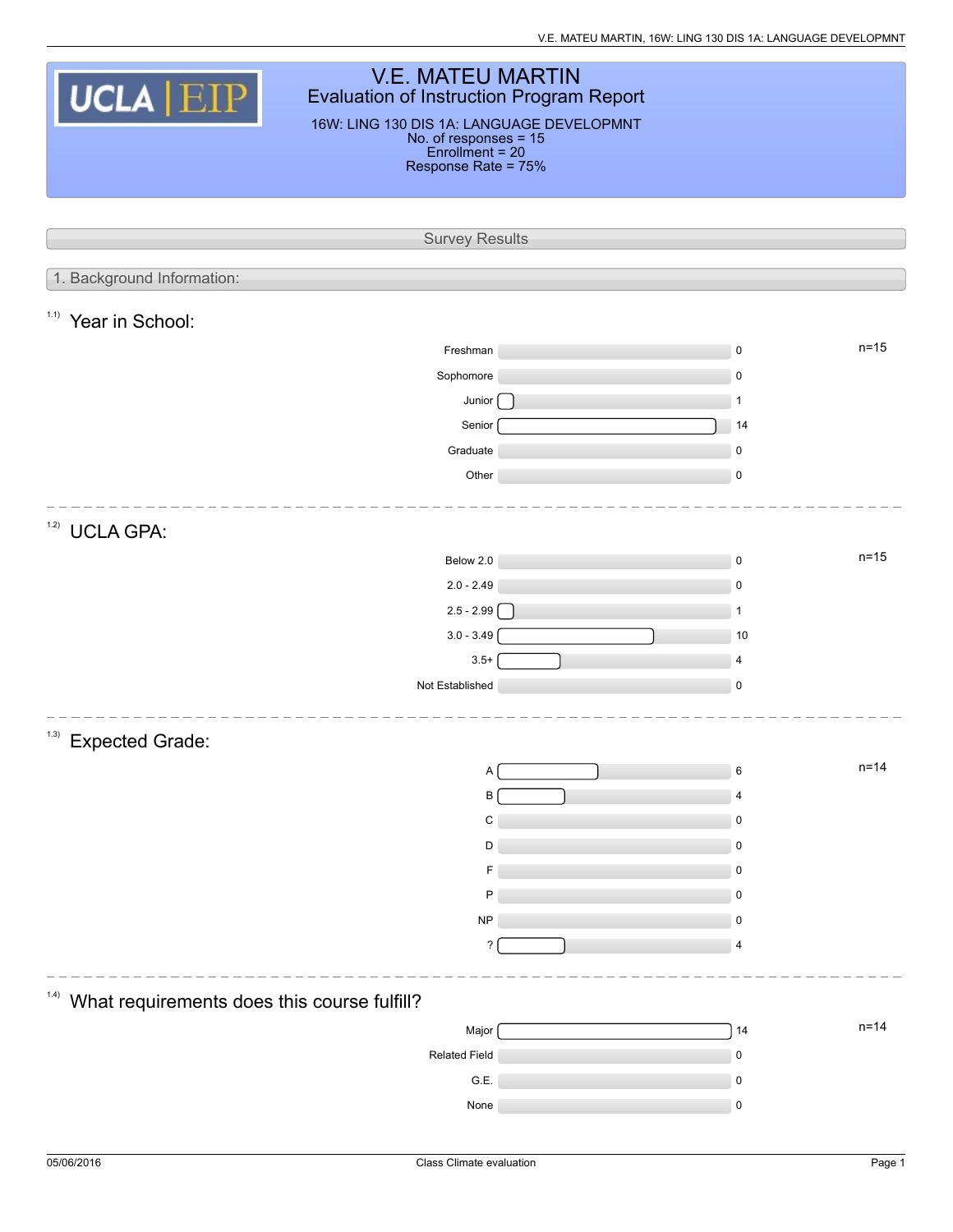| <b>V.E. MATEU MARTIN</b><br><b>UCLA EIP</b><br>Evaluation of Instruction Program Report<br>16W: LING 130 DIS 1A: LANGUAGE DEVELOPMNT<br>No. of responses = 15<br>Enrollment = 20<br>Response Rate = 75% |  |                     |  |  |  |  |  |  |  |
|---------------------------------------------------------------------------------------------------------------------------------------------------------------------------------------------------------|--|---------------------|--|--|--|--|--|--|--|
| <b>Survey Results</b>                                                                                                                                                                                   |  |                     |  |  |  |  |  |  |  |
|                                                                                                                                                                                                         |  |                     |  |  |  |  |  |  |  |
| 1. Background Information:                                                                                                                                                                              |  |                     |  |  |  |  |  |  |  |
| 1.1)<br>Year in School:                                                                                                                                                                                 |  |                     |  |  |  |  |  |  |  |
| Freshman                                                                                                                                                                                                |  | $n=15$<br>$\pmb{0}$ |  |  |  |  |  |  |  |
| Sophomore                                                                                                                                                                                               |  | $\pmb{0}$           |  |  |  |  |  |  |  |
| Junior                                                                                                                                                                                                  |  | $\mathbf{1}$        |  |  |  |  |  |  |  |
| Senior<br>Graduate                                                                                                                                                                                      |  | 14<br>$\pmb{0}$     |  |  |  |  |  |  |  |
| Other                                                                                                                                                                                                   |  | $\pmb{0}$           |  |  |  |  |  |  |  |
|                                                                                                                                                                                                         |  |                     |  |  |  |  |  |  |  |
| 1.2)<br><b>UCLA GPA:</b>                                                                                                                                                                                |  |                     |  |  |  |  |  |  |  |
| Below 2.0                                                                                                                                                                                               |  | $n=15$<br>$\pmb{0}$ |  |  |  |  |  |  |  |
| $2.0 - 2.49$                                                                                                                                                                                            |  | $\pmb{0}$           |  |  |  |  |  |  |  |
| $2.5 - 2.99$                                                                                                                                                                                            |  | $\mathbf{1}$        |  |  |  |  |  |  |  |
| $3.0 - 3.49$                                                                                                                                                                                            |  | 10                  |  |  |  |  |  |  |  |
| $3.5+$                                                                                                                                                                                                  |  | $\overline{4}$      |  |  |  |  |  |  |  |
| Not Established                                                                                                                                                                                         |  | $\pmb{0}$           |  |  |  |  |  |  |  |
| <sup>1.3)</sup> Expected Grade:                                                                                                                                                                         |  |                     |  |  |  |  |  |  |  |
| Α                                                                                                                                                                                                       |  | $n = 14$<br>6       |  |  |  |  |  |  |  |
| B                                                                                                                                                                                                       |  | 4                   |  |  |  |  |  |  |  |
| C                                                                                                                                                                                                       |  | 0                   |  |  |  |  |  |  |  |
| D                                                                                                                                                                                                       |  | 0                   |  |  |  |  |  |  |  |
| F                                                                                                                                                                                                       |  | 0                   |  |  |  |  |  |  |  |
| P                                                                                                                                                                                                       |  | 0                   |  |  |  |  |  |  |  |
| NP                                                                                                                                                                                                      |  | 0                   |  |  |  |  |  |  |  |
| $\overline{\phantom{a}}$                                                                                                                                                                                |  | 4                   |  |  |  |  |  |  |  |
| 1.4)<br>What requirements does this course fulfill?                                                                                                                                                     |  |                     |  |  |  |  |  |  |  |
| Major                                                                                                                                                                                                   |  | $n = 14$<br>14      |  |  |  |  |  |  |  |
| Related Field                                                                                                                                                                                           |  | 0                   |  |  |  |  |  |  |  |
| G.E.                                                                                                                                                                                                    |  | $\pmb{0}$           |  |  |  |  |  |  |  |
| None                                                                                                                                                                                                    |  | $\pmb{0}$           |  |  |  |  |  |  |  |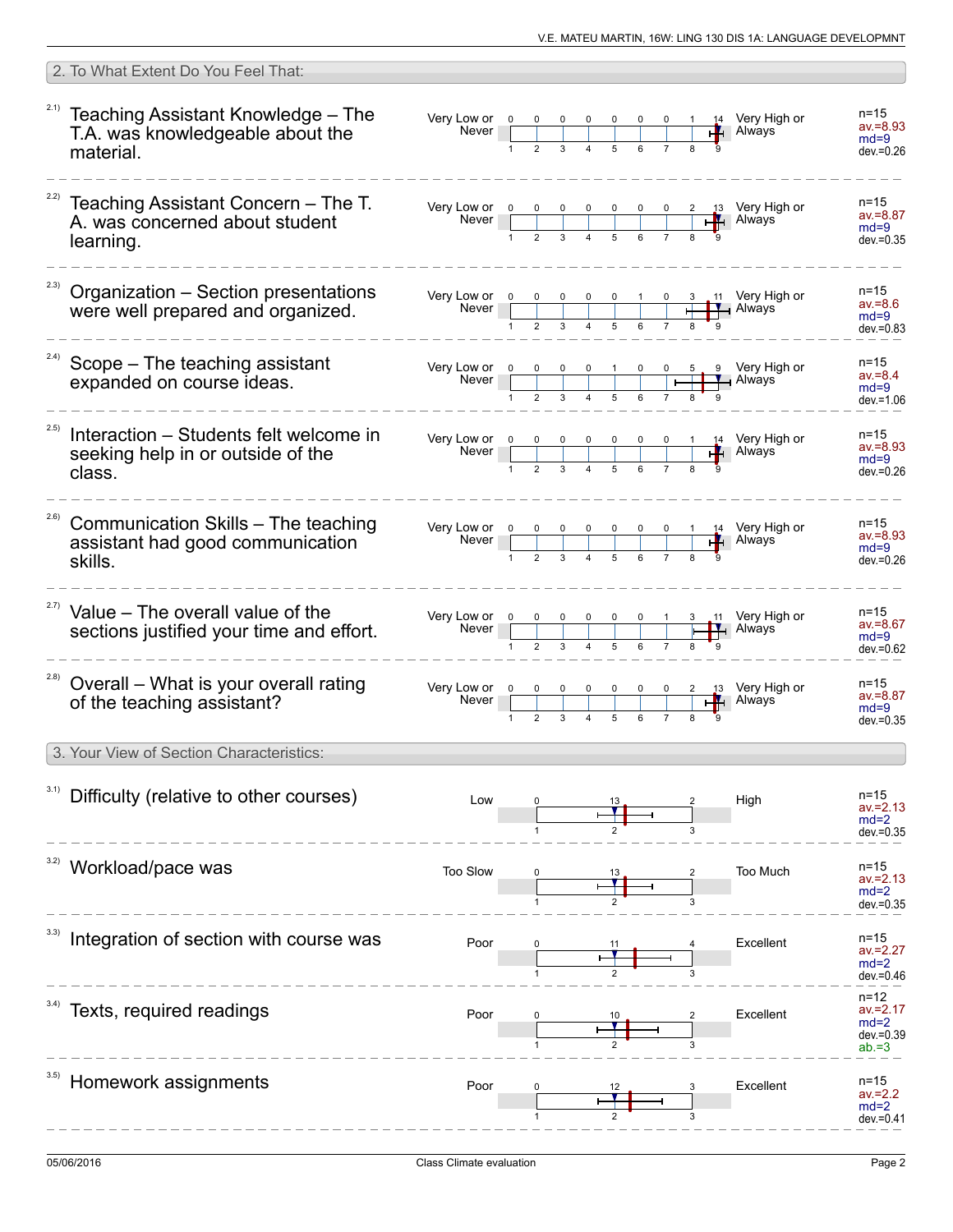|       | 2. To What Extent Do You Feel That:                                                                |                                                                                                                                 |  |  |                                                                                                                     |  |    |                                          |                                                            |
|-------|----------------------------------------------------------------------------------------------------|---------------------------------------------------------------------------------------------------------------------------------|--|--|---------------------------------------------------------------------------------------------------------------------|--|----|------------------------------------------|------------------------------------------------------------|
|       | $21)$ Teaching Assistant Knowledge - The<br>T.A. was knowledgeable about the<br>material.          | Very Low or 0<br>Never                                                                                                          |  |  | $\begin{array}{c cccc} 0 & 0 & 0 & 0 & 0 & 0 & 1 \\ \hline & & & & & & \\ 2 & 3 & 4 & 5 & 6 & 7 & 8 \\ \end{array}$ |  |    | $\frac{14}{14}$ Very High or             | $n = 15$<br>$av = 8.93$<br>$md=9$<br>$dev = 0.26$          |
|       | $222$ Teaching Assistant Concern - The T.<br>A. was concerned about student<br>learning.           |                                                                                                                                 |  |  |                                                                                                                     |  |    |                                          | $n = 15$<br>$av = 8.87$<br>$md=9$<br>$dev = 0.35$          |
|       | <sup>2.3)</sup> Organization - Section presentations<br>were well prepared and organized.          | Very Low or $\begin{array}{c c}\n0 & 0 & 0 \\ \hline\n\end{array}$                                                              |  |  |                                                                                                                     |  |    | 3 11 Very High or<br>$\mathbf{I}$ Always | n=15<br>$av = 8.6$<br>$md=9$<br>$dev = 0.83$               |
|       | $24)$ Scope – The teaching assistant<br>expanded on course ideas.                                  | Very Low or $\begin{array}{ c c c c c c }\n\hline\n0 & 0 & 0 & 0 & 1 & 0 & 0 & 5 & 9 \\ \hline\n\end{array}$ Very High or Never |  |  |                                                                                                                     |  |    |                                          | n=15<br>$av = 8.4$<br>$md=9$<br>$dev = 1.06$               |
| 2.5)  | Interaction – Students felt welcome in<br>seeking help in or outside of the<br>class.              | Very Low or $\begin{array}{ c c c c c c }\n\hline\n0 & 0 & 0 & 0 & 0 & 0 & 1 & 14 \\ \hline\n\end{array}$ Very High or Never    |  |  |                                                                                                                     |  |    |                                          | n=15<br>$av = 8.93$<br>$md=9$<br>$dev = 0.26$              |
|       | <sup>2.6)</sup> Communication Skills - The teaching<br>assistant had good communication<br>skills. |                                                                                                                                 |  |  |                                                                                                                     |  |    |                                          | n=15<br>$av = 8.93$<br>$md=9$<br>$dev = 0.26$              |
|       | $27)$ Value - The overall value of the<br>sections justified your time and effort.                 | Very Low or 0<br>Never                                                                                                          |  |  |                                                                                                                     |  |    | 11 Very High or<br>Always                | n=15<br>$av = 8.67$<br>$md=9$<br>$dev = 0.62$              |
| (2.8) | Overall - What is your overall rating<br>of the teaching assistant?                                | Very Low or 0<br>Never                                                                                                          |  |  |                                                                                                                     |  | ŦН | $2 \t13$ Very High or<br><b>Always</b>   | $n = 15$<br>$av = 8.87$<br>$md=9$<br>$dev = 0.35$          |
|       | 3. Your View of Section Characteristics:                                                           |                                                                                                                                 |  |  |                                                                                                                     |  |    |                                          |                                                            |
|       | Difficulty (relative to other courses)                                                             | Low                                                                                                                             |  |  |                                                                                                                     |  |    | High                                     | n=15<br>$av = 2.13$<br>$md=2$<br>$dev = 0.35$              |
|       | Workload/pace was                                                                                  | Too Slow                                                                                                                        |  |  |                                                                                                                     |  |    | Too Much                                 | n=15<br>$av = 2.13$<br>$md=2$<br>$dev = 0.35$              |
|       | Integration of section with course was                                                             | Poor                                                                                                                            |  |  |                                                                                                                     |  |    | Excellent                                | n=15<br>av.=2.27<br>$md=2$<br>dev.=0.46                    |
|       | <sup>3.4)</sup> Texts, required readings                                                           | Poor                                                                                                                            |  |  |                                                                                                                     |  |    | Excellent                                | $n = 12$<br>av.=2.17<br>$md=2$<br>$dev = 0.39$<br>$ab = 3$ |
|       | Homework assignments                                                                               | Poor                                                                                                                            |  |  |                                                                                                                     |  |    | Excellent                                | n=15<br>$av = 2.2$<br>$md=2$<br>$dev = 0.41$               |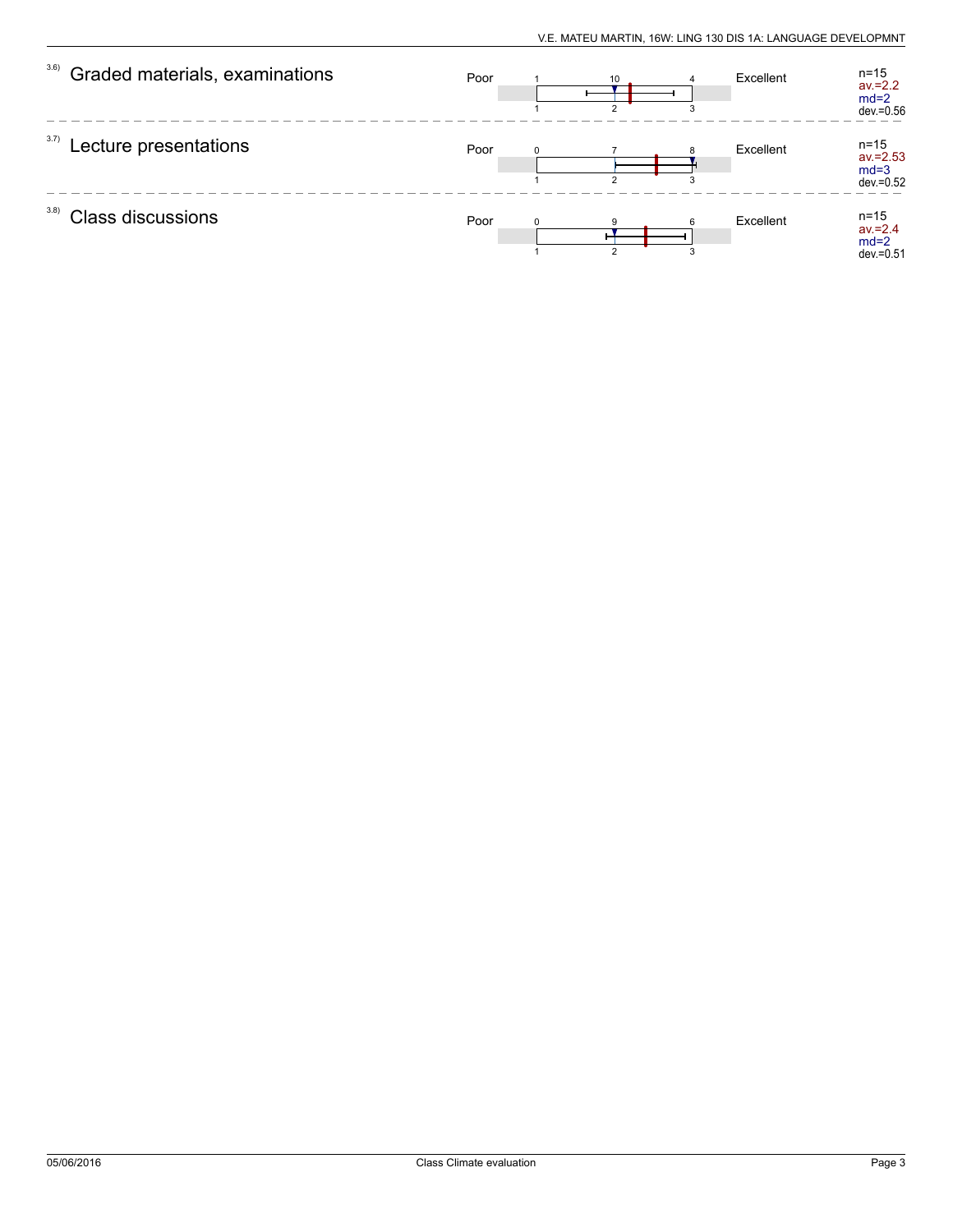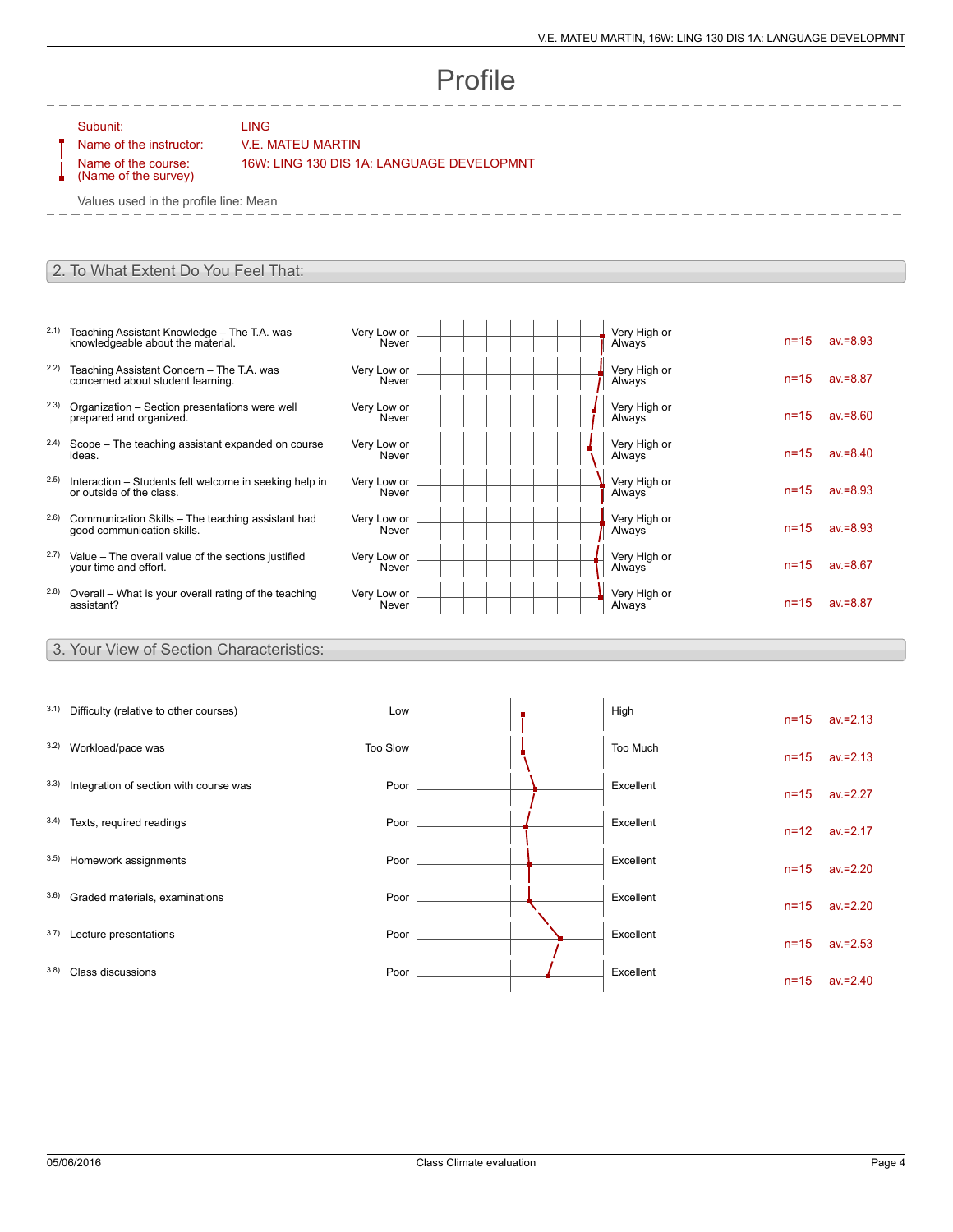## Profile

Subunit: LING

## Name of the instructor: V.E. MATEU MARTIN

Name of the course: (Name of the survey) 16W: LING 130 DIS 1A: LANGUAGE DEVELOPMNT

Values used in the profile line: Mean

## 2. To What Extent Do You Feel That:

- 2.1) Teaching Assistant Knowledge The T.A. was knowledgeable about the material.
- 2.2) Teaching Assistant Concern The T.A. was concerned about student learning.
- 2.3) Organization Section presentations were well prepared and organized.
- 2.4) Scope The teaching assistant expanded on course ideas.
- 2.5) Interaction Students felt welcome in seeking help in or outside of the class.
- 2.6) Communication Skills The teaching assistant had good communication skills.
- 2.7) Value The overall value of the sections justified your time and effort.
- 2.8) Overall What is your overall rating of the teaching assistant?

3. Your View of Section Characteristics:

| Very Low or<br>Never | Very High or<br>Always | $n = 15$ | $av = 8.93$ |
|----------------------|------------------------|----------|-------------|
| Very Low or<br>Never | Very High or<br>Always | $n = 15$ | $av = 8.87$ |
| Very Low or<br>Never | Very High or<br>Always | $n = 15$ | $av = 8.60$ |
| Very Low or<br>Never | Very High or<br>Always | $n = 15$ | $av = 8.40$ |
| Very Low or<br>Never | Very High or<br>Always | $n = 15$ | $av = 8.93$ |
| Very Low or<br>Never | Very High or<br>Always | $n = 15$ | $av = 8.93$ |
| Very Low or<br>Never | Very High or<br>Always | $n = 15$ | $av = 8.67$ |
| Very Low or<br>Never | Very High or<br>Always | $n = 15$ | $av = 8.87$ |
|                      |                        |          |             |

| 3.1) | Difficulty (relative to other courses) | Low      | High      | $n = 15$ | $av = 2.13$ |
|------|----------------------------------------|----------|-----------|----------|-------------|
| 3.2) | Workload/pace was                      | Too Slow | Too Much  | $n = 15$ | $av = 2.13$ |
| 3.3) | Integration of section with course was | Poor     | Excellent | $n = 15$ | $av = 2.27$ |
| 3.4) | Texts, required readings               | Poor     | Excellent | $n = 12$ | $av = 2.17$ |
| 3.5) | Homework assignments                   | Poor     | Excellent | $n = 15$ | $av = 2.20$ |
| 3.6) | Graded materials, examinations         | Poor     | Excellent | $n = 15$ | $av = 2.20$ |
| 3.7) | Lecture presentations                  | Poor     | Excellent | $n = 15$ | $av = 2.53$ |
| 3.8) | Class discussions                      | Poor     | Excellent | $n = 15$ | $av = 2.40$ |